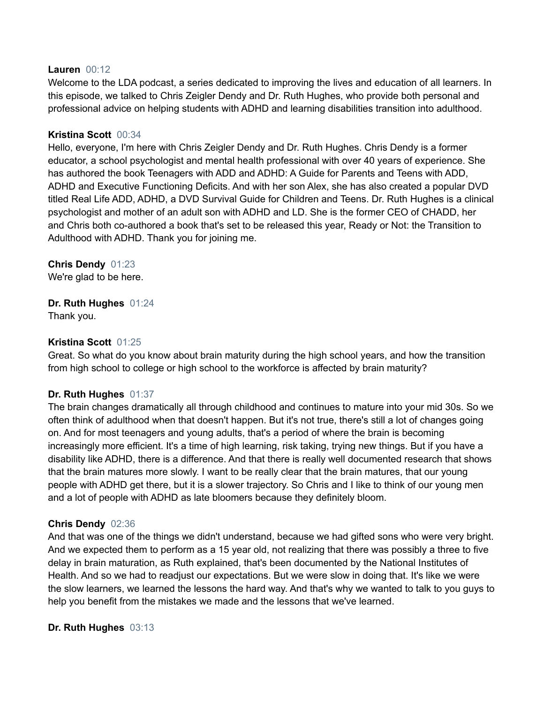#### **Lauren** 00:12

Welcome to the LDA podcast, a series dedicated to improving the lives and education of all learners. In this episode, we talked to Chris Zeigler Dendy and Dr. Ruth Hughes, who provide both personal and professional advice on helping students with ADHD and learning disabilities transition into adulthood.

### **Kristina Scott** 00:34

Hello, everyone, I'm here with Chris Zeigler Dendy and Dr. Ruth Hughes. Chris Dendy is a former educator, a school psychologist and mental health professional with over 40 years of experience. She has authored the book Teenagers with ADD and ADHD: A Guide for Parents and Teens with ADD, ADHD and Executive Functioning Deficits. And with her son Alex, she has also created a popular DVD titled Real Life ADD, ADHD, a DVD Survival Guide for Children and Teens. Dr. Ruth Hughes is a clinical psychologist and mother of an adult son with ADHD and LD. She is the former CEO of CHADD, her and Chris both co-authored a book that's set to be released this year, Ready or Not: the Transition to Adulthood with ADHD. Thank you for joining me.

### **Chris Dendy** 01:23

We're glad to be here.

# **Dr. Ruth Hughes** 01:24

Thank you.

# **Kristina Scott** 01:25

Great. So what do you know about brain maturity during the high school years, and how the transition from high school to college or high school to the workforce is affected by brain maturity?

### **Dr. Ruth Hughes** 01:37

The brain changes dramatically all through childhood and continues to mature into your mid 30s. So we often think of adulthood when that doesn't happen. But it's not true, there's still a lot of changes going on. And for most teenagers and young adults, that's a period of where the brain is becoming increasingly more efficient. It's a time of high learning, risk taking, trying new things. But if you have a disability like ADHD, there is a difference. And that there is really well documented research that shows that the brain matures more slowly. I want to be really clear that the brain matures, that our young people with ADHD get there, but it is a slower trajectory. So Chris and I like to think of our young men and a lot of people with ADHD as late bloomers because they definitely bloom.

### **Chris Dendy** 02:36

And that was one of the things we didn't understand, because we had gifted sons who were very bright. And we expected them to perform as a 15 year old, not realizing that there was possibly a three to five delay in brain maturation, as Ruth explained, that's been documented by the National Institutes of Health. And so we had to readjust our expectations. But we were slow in doing that. It's like we were the slow learners, we learned the lessons the hard way. And that's why we wanted to talk to you guys to help you benefit from the mistakes we made and the lessons that we've learned.

### **Dr. Ruth Hughes** 03:13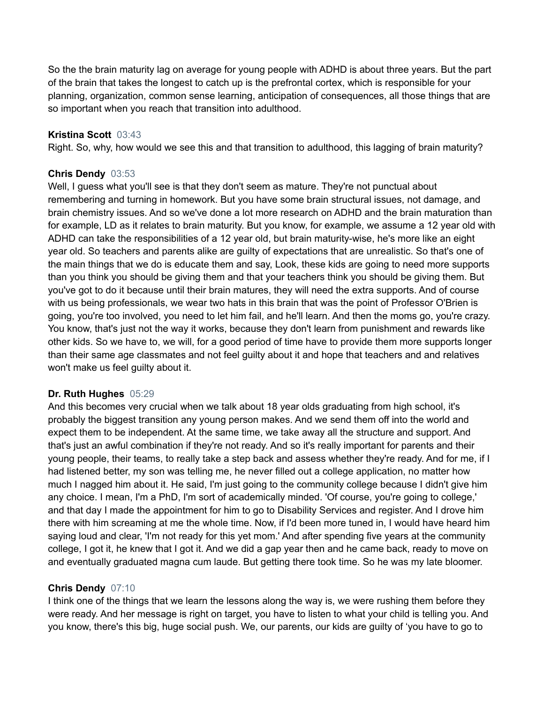So the the brain maturity lag on average for young people with ADHD is about three years. But the part of the brain that takes the longest to catch up is the prefrontal cortex, which is responsible for your planning, organization, common sense learning, anticipation of consequences, all those things that are so important when you reach that transition into adulthood.

#### **Kristina Scott** 03:43

Right. So, why, how would we see this and that transition to adulthood, this lagging of brain maturity?

#### **Chris Dendy** 03:53

Well, I guess what you'll see is that they don't seem as mature. They're not punctual about remembering and turning in homework. But you have some brain structural issues, not damage, and brain chemistry issues. And so we've done a lot more research on ADHD and the brain maturation than for example, LD as it relates to brain maturity. But you know, for example, we assume a 12 year old with ADHD can take the responsibilities of a 12 year old, but brain maturity-wise, he's more like an eight year old. So teachers and parents alike are guilty of expectations that are unrealistic. So that's one of the main things that we do is educate them and say, Look, these kids are going to need more supports than you think you should be giving them and that your teachers think you should be giving them. But you've got to do it because until their brain matures, they will need the extra supports. And of course with us being professionals, we wear two hats in this brain that was the point of Professor O'Brien is going, you're too involved, you need to let him fail, and he'll learn. And then the moms go, you're crazy. You know, that's just not the way it works, because they don't learn from punishment and rewards like other kids. So we have to, we will, for a good period of time have to provide them more supports longer than their same age classmates and not feel guilty about it and hope that teachers and and relatives won't make us feel guilty about it.

### **Dr. Ruth Hughes** 05:29

And this becomes very crucial when we talk about 18 year olds graduating from high school, it's probably the biggest transition any young person makes. And we send them off into the world and expect them to be independent. At the same time, we take away all the structure and support. And that's just an awful combination if they're not ready. And so it's really important for parents and their young people, their teams, to really take a step back and assess whether they're ready. And for me, if I had listened better, my son was telling me, he never filled out a college application, no matter how much I nagged him about it. He said, I'm just going to the community college because I didn't give him any choice. I mean, I'm a PhD, I'm sort of academically minded. 'Of course, you're going to college,' and that day I made the appointment for him to go to Disability Services and register. And I drove him there with him screaming at me the whole time. Now, if I'd been more tuned in, I would have heard him saying loud and clear, 'I'm not ready for this yet mom.' And after spending five years at the community college, I got it, he knew that I got it. And we did a gap year then and he came back, ready to move on and eventually graduated magna cum laude. But getting there took time. So he was my late bloomer.

#### **Chris Dendy** 07:10

I think one of the things that we learn the lessons along the way is, we were rushing them before they were ready. And her message is right on target, you have to listen to what your child is telling you. And you know, there's this big, huge social push. We, our parents, our kids are guilty of 'you have to go to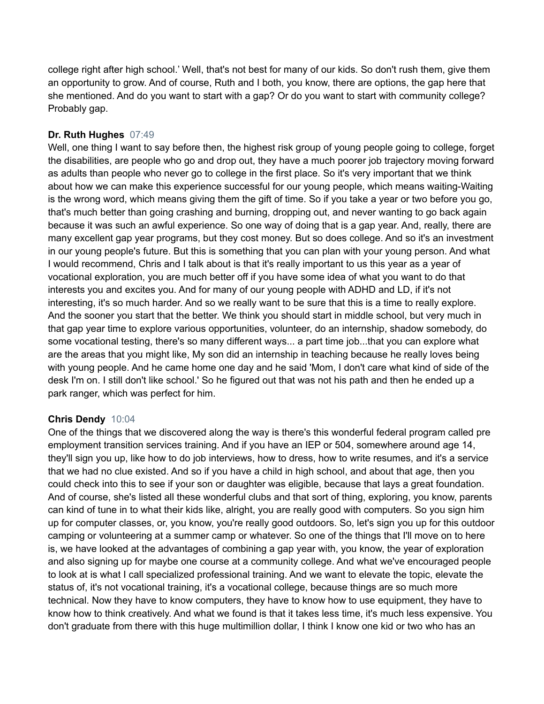college right after high school.' Well, that's not best for many of our kids. So don't rush them, give them an opportunity to grow. And of course, Ruth and I both, you know, there are options, the gap here that she mentioned. And do you want to start with a gap? Or do you want to start with community college? Probably gap.

# **Dr. Ruth Hughes** 07:49

Well, one thing I want to say before then, the highest risk group of young people going to college, forget the disabilities, are people who go and drop out, they have a much poorer job trajectory moving forward as adults than people who never go to college in the first place. So it's very important that we think about how we can make this experience successful for our young people, which means waiting-Waiting is the wrong word, which means giving them the gift of time. So if you take a year or two before you go, that's much better than going crashing and burning, dropping out, and never wanting to go back again because it was such an awful experience. So one way of doing that is a gap year. And, really, there are many excellent gap year programs, but they cost money. But so does college. And so it's an investment in our young people's future. But this is something that you can plan with your young person. And what I would recommend, Chris and I talk about is that it's really important to us this year as a year of vocational exploration, you are much better off if you have some idea of what you want to do that interests you and excites you. And for many of our young people with ADHD and LD, if it's not interesting, it's so much harder. And so we really want to be sure that this is a time to really explore. And the sooner you start that the better. We think you should start in middle school, but very much in that gap year time to explore various opportunities, volunteer, do an internship, shadow somebody, do some vocational testing, there's so many different ways... a part time job...that you can explore what are the areas that you might like, My son did an internship in teaching because he really loves being with young people. And he came home one day and he said 'Mom, I don't care what kind of side of the desk I'm on. I still don't like school.' So he figured out that was not his path and then he ended up a park ranger, which was perfect for him.

### **Chris Dendy** 10:04

One of the things that we discovered along the way is there's this wonderful federal program called pre employment transition services training. And if you have an IEP or 504, somewhere around age 14, they'll sign you up, like how to do job interviews, how to dress, how to write resumes, and it's a service that we had no clue existed. And so if you have a child in high school, and about that age, then you could check into this to see if your son or daughter was eligible, because that lays a great foundation. And of course, she's listed all these wonderful clubs and that sort of thing, exploring, you know, parents can kind of tune in to what their kids like, alright, you are really good with computers. So you sign him up for computer classes, or, you know, you're really good outdoors. So, let's sign you up for this outdoor camping or volunteering at a summer camp or whatever. So one of the things that I'll move on to here is, we have looked at the advantages of combining a gap year with, you know, the year of exploration and also signing up for maybe one course at a community college. And what we've encouraged people to look at is what I call specialized professional training. And we want to elevate the topic, elevate the status of, it's not vocational training, it's a vocational college, because things are so much more technical. Now they have to know computers, they have to know how to use equipment, they have to know how to think creatively. And what we found is that it takes less time, it's much less expensive. You don't graduate from there with this huge multimillion dollar, I think I know one kid or two who has an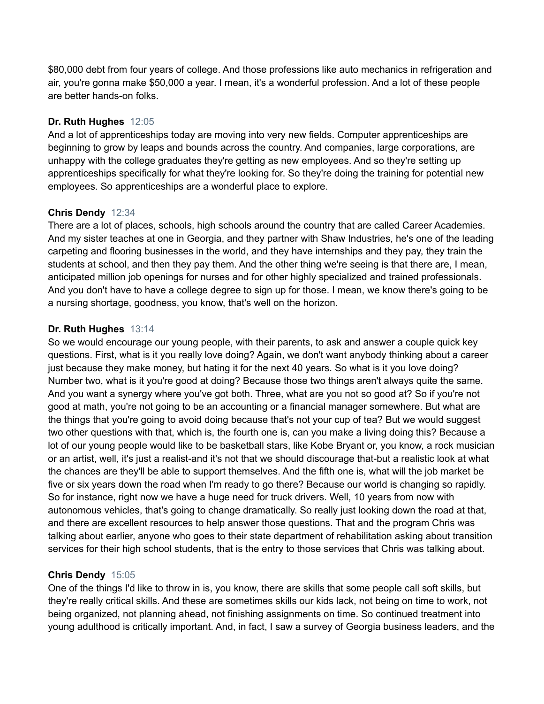\$80,000 debt from four years of college. And those professions like auto mechanics in refrigeration and air, you're gonna make \$50,000 a year. I mean, it's a wonderful profession. And a lot of these people are better hands-on folks.

# **Dr. Ruth Hughes** 12:05

And a lot of apprenticeships today are moving into very new fields. Computer apprenticeships are beginning to grow by leaps and bounds across the country. And companies, large corporations, are unhappy with the college graduates they're getting as new employees. And so they're setting up apprenticeships specifically for what they're looking for. So they're doing the training for potential new employees. So apprenticeships are a wonderful place to explore.

# **Chris Dendy** 12:34

There are a lot of places, schools, high schools around the country that are called Career Academies. And my sister teaches at one in Georgia, and they partner with Shaw Industries, he's one of the leading carpeting and flooring businesses in the world, and they have internships and they pay, they train the students at school, and then they pay them. And the other thing we're seeing is that there are, I mean, anticipated million job openings for nurses and for other highly specialized and trained professionals. And you don't have to have a college degree to sign up for those. I mean, we know there's going to be a nursing shortage, goodness, you know, that's well on the horizon.

# **Dr. Ruth Hughes** 13:14

So we would encourage our young people, with their parents, to ask and answer a couple quick key questions. First, what is it you really love doing? Again, we don't want anybody thinking about a career just because they make money, but hating it for the next 40 years. So what is it you love doing? Number two, what is it you're good at doing? Because those two things aren't always quite the same. And you want a synergy where you've got both. Three, what are you not so good at? So if you're not good at math, you're not going to be an accounting or a financial manager somewhere. But what are the things that you're going to avoid doing because that's not your cup of tea? But we would suggest two other questions with that, which is, the fourth one is, can you make a living doing this? Because a lot of our young people would like to be basketball stars, like Kobe Bryant or, you know, a rock musician or an artist, well, it's just a realist-and it's not that we should discourage that-but a realistic look at what the chances are they'll be able to support themselves. And the fifth one is, what will the job market be five or six years down the road when I'm ready to go there? Because our world is changing so rapidly. So for instance, right now we have a huge need for truck drivers. Well, 10 years from now with autonomous vehicles, that's going to change dramatically. So really just looking down the road at that, and there are excellent resources to help answer those questions. That and the program Chris was talking about earlier, anyone who goes to their state department of rehabilitation asking about transition services for their high school students, that is the entry to those services that Chris was talking about.

### **Chris Dendy** 15:05

One of the things I'd like to throw in is, you know, there are skills that some people call soft skills, but they're really critical skills. And these are sometimes skills our kids lack, not being on time to work, not being organized, not planning ahead, not finishing assignments on time. So continued treatment into young adulthood is critically important. And, in fact, I saw a survey of Georgia business leaders, and the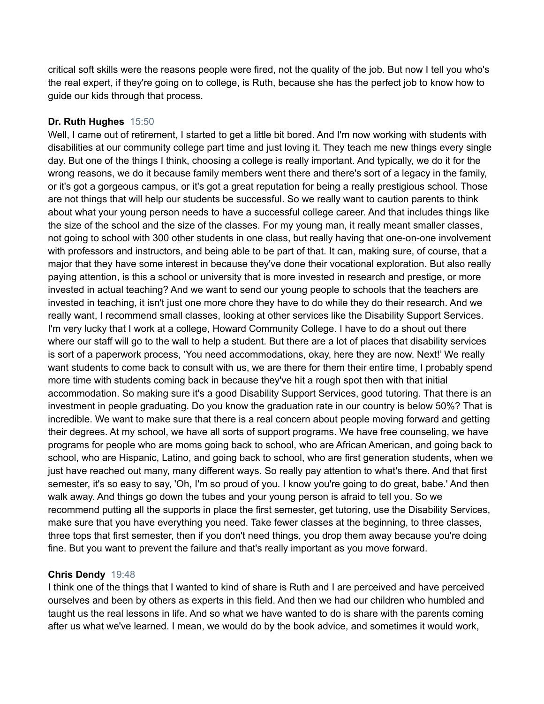critical soft skills were the reasons people were fired, not the quality of the job. But now I tell you who's the real expert, if they're going on to college, is Ruth, because she has the perfect job to know how to guide our kids through that process.

# **Dr. Ruth Hughes** 15:50

Well, I came out of retirement, I started to get a little bit bored. And I'm now working with students with disabilities at our community college part time and just loving it. They teach me new things every single day. But one of the things I think, choosing a college is really important. And typically, we do it for the wrong reasons, we do it because family members went there and there's sort of a legacy in the family, or it's got a gorgeous campus, or it's got a great reputation for being a really prestigious school. Those are not things that will help our students be successful. So we really want to caution parents to think about what your young person needs to have a successful college career. And that includes things like the size of the school and the size of the classes. For my young man, it really meant smaller classes, not going to school with 300 other students in one class, but really having that one-on-one involvement with professors and instructors, and being able to be part of that. It can, making sure, of course, that a major that they have some interest in because they've done their vocational exploration. But also really paying attention, is this a school or university that is more invested in research and prestige, or more invested in actual teaching? And we want to send our young people to schools that the teachers are invested in teaching, it isn't just one more chore they have to do while they do their research. And we really want, I recommend small classes, looking at other services like the Disability Support Services. I'm very lucky that I work at a college, Howard Community College. I have to do a shout out there where our staff will go to the wall to help a student. But there are a lot of places that disability services is sort of a paperwork process, 'You need accommodations, okay, here they are now. Next!' We really want students to come back to consult with us, we are there for them their entire time, I probably spend more time with students coming back in because they've hit a rough spot then with that initial accommodation. So making sure it's a good Disability Support Services, good tutoring. That there is an investment in people graduating. Do you know the graduation rate in our country is below 50%? That is incredible. We want to make sure that there is a real concern about people moving forward and getting their degrees. At my school, we have all sorts of support programs. We have free counseling, we have programs for people who are moms going back to school, who are African American, and going back to school, who are Hispanic, Latino, and going back to school, who are first generation students, when we just have reached out many, many different ways. So really pay attention to what's there. And that first semester, it's so easy to say, 'Oh, I'm so proud of you. I know you're going to do great, babe.' And then walk away. And things go down the tubes and your young person is afraid to tell you. So we recommend putting all the supports in place the first semester, get tutoring, use the Disability Services, make sure that you have everything you need. Take fewer classes at the beginning, to three classes, three tops that first semester, then if you don't need things, you drop them away because you're doing fine. But you want to prevent the failure and that's really important as you move forward.

### **Chris Dendy** 19:48

I think one of the things that I wanted to kind of share is Ruth and I are perceived and have perceived ourselves and been by others as experts in this field. And then we had our children who humbled and taught us the real lessons in life. And so what we have wanted to do is share with the parents coming after us what we've learned. I mean, we would do by the book advice, and sometimes it would work,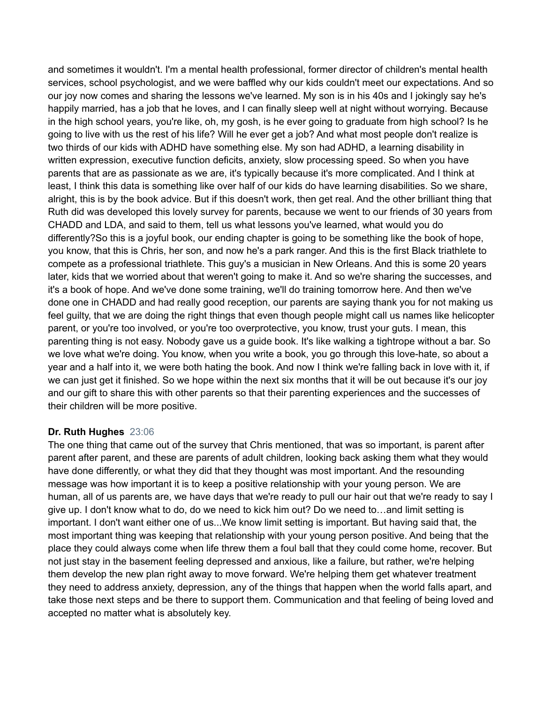and sometimes it wouldn't. I'm a mental health professional, former director of children's mental health services, school psychologist, and we were baffled why our kids couldn't meet our expectations. And so our joy now comes and sharing the lessons we've learned. My son is in his 40s and I jokingly say he's happily married, has a job that he loves, and I can finally sleep well at night without worrying. Because in the high school years, you're like, oh, my gosh, is he ever going to graduate from high school? Is he going to live with us the rest of his life? Will he ever get a job? And what most people don't realize is two thirds of our kids with ADHD have something else. My son had ADHD, a learning disability in written expression, executive function deficits, anxiety, slow processing speed. So when you have parents that are as passionate as we are, it's typically because it's more complicated. And I think at least, I think this data is something like over half of our kids do have learning disabilities. So we share, alright, this is by the book advice. But if this doesn't work, then get real. And the other brilliant thing that Ruth did was developed this lovely survey for parents, because we went to our friends of 30 years from CHADD and LDA, and said to them, tell us what lessons you've learned, what would you do differently?So this is a joyful book, our ending chapter is going to be something like the book of hope, you know, that this is Chris, her son, and now he's a park ranger. And this is the first Black triathlete to compete as a professional triathlete. This guy's a musician in New Orleans. And this is some 20 years later, kids that we worried about that weren't going to make it. And so we're sharing the successes, and it's a book of hope. And we've done some training, we'll do training tomorrow here. And then we've done one in CHADD and had really good reception, our parents are saying thank you for not making us feel guilty, that we are doing the right things that even though people might call us names like helicopter parent, or you're too involved, or you're too overprotective, you know, trust your guts. I mean, this parenting thing is not easy. Nobody gave us a guide book. It's like walking a tightrope without a bar. So we love what we're doing. You know, when you write a book, you go through this love-hate, so about a year and a half into it, we were both hating the book. And now I think we're falling back in love with it, if we can just get it finished. So we hope within the next six months that it will be out because it's our joy and our gift to share this with other parents so that their parenting experiences and the successes of their children will be more positive.

### **Dr. Ruth Hughes** 23:06

The one thing that came out of the survey that Chris mentioned, that was so important, is parent after parent after parent, and these are parents of adult children, looking back asking them what they would have done differently, or what they did that they thought was most important. And the resounding message was how important it is to keep a positive relationship with your young person. We are human, all of us parents are, we have days that we're ready to pull our hair out that we're ready to say I give up. I don't know what to do, do we need to kick him out? Do we need to…and limit setting is important. I don't want either one of us...We know limit setting is important. But having said that, the most important thing was keeping that relationship with your young person positive. And being that the place they could always come when life threw them a foul ball that they could come home, recover. But not just stay in the basement feeling depressed and anxious, like a failure, but rather, we're helping them develop the new plan right away to move forward. We're helping them get whatever treatment they need to address anxiety, depression, any of the things that happen when the world falls apart, and take those next steps and be there to support them. Communication and that feeling of being loved and accepted no matter what is absolutely key.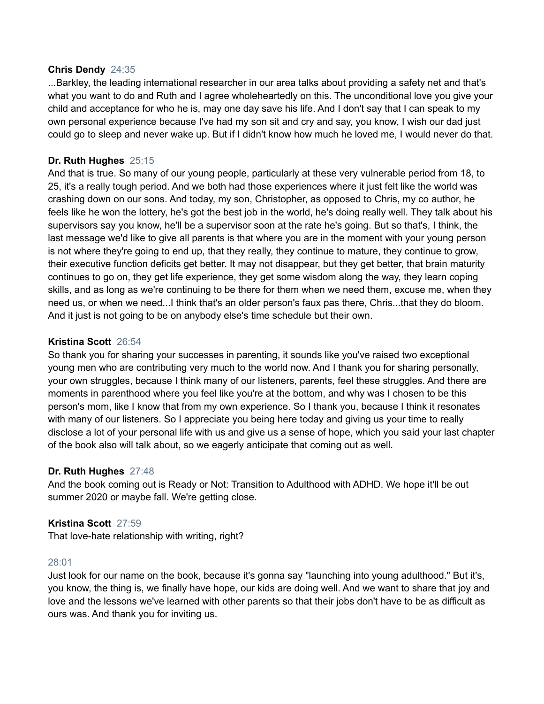#### **Chris Dendy** 24:35

...Barkley, the leading international researcher in our area talks about providing a safety net and that's what you want to do and Ruth and I agree wholeheartedly on this. The unconditional love you give your child and acceptance for who he is, may one day save his life. And I don't say that I can speak to my own personal experience because I've had my son sit and cry and say, you know, I wish our dad just could go to sleep and never wake up. But if I didn't know how much he loved me, I would never do that.

# **Dr. Ruth Hughes** 25:15

And that is true. So many of our young people, particularly at these very vulnerable period from 18, to 25, it's a really tough period. And we both had those experiences where it just felt like the world was crashing down on our sons. And today, my son, Christopher, as opposed to Chris, my co author, he feels like he won the lottery, he's got the best job in the world, he's doing really well. They talk about his supervisors say you know, he'll be a supervisor soon at the rate he's going. But so that's, I think, the last message we'd like to give all parents is that where you are in the moment with your young person is not where they're going to end up, that they really, they continue to mature, they continue to grow, their executive function deficits get better. It may not disappear, but they get better, that brain maturity continues to go on, they get life experience, they get some wisdom along the way, they learn coping skills, and as long as we're continuing to be there for them when we need them, excuse me, when they need us, or when we need...I think that's an older person's faux pas there, Chris...that they do bloom. And it just is not going to be on anybody else's time schedule but their own.

### **Kristina Scott** 26:54

So thank you for sharing your successes in parenting, it sounds like you've raised two exceptional young men who are contributing very much to the world now. And I thank you for sharing personally, your own struggles, because I think many of our listeners, parents, feel these struggles. And there are moments in parenthood where you feel like you're at the bottom, and why was I chosen to be this person's mom, like I know that from my own experience. So I thank you, because I think it resonates with many of our listeners. So I appreciate you being here today and giving us your time to really disclose a lot of your personal life with us and give us a sense of hope, which you said your last chapter of the book also will talk about, so we eagerly anticipate that coming out as well.

### **Dr. Ruth Hughes** 27:48

And the book coming out is Ready or Not: Transition to Adulthood with ADHD. We hope it'll be out summer 2020 or maybe fall. We're getting close.

### **Kristina Scott** 27:59

That love-hate relationship with writing, right?

#### 28:01

Just look for our name on the book, because it's gonna say "launching into young adulthood." But it's, you know, the thing is, we finally have hope, our kids are doing well. And we want to share that joy and love and the lessons we've learned with other parents so that their jobs don't have to be as difficult as ours was. And thank you for inviting us.